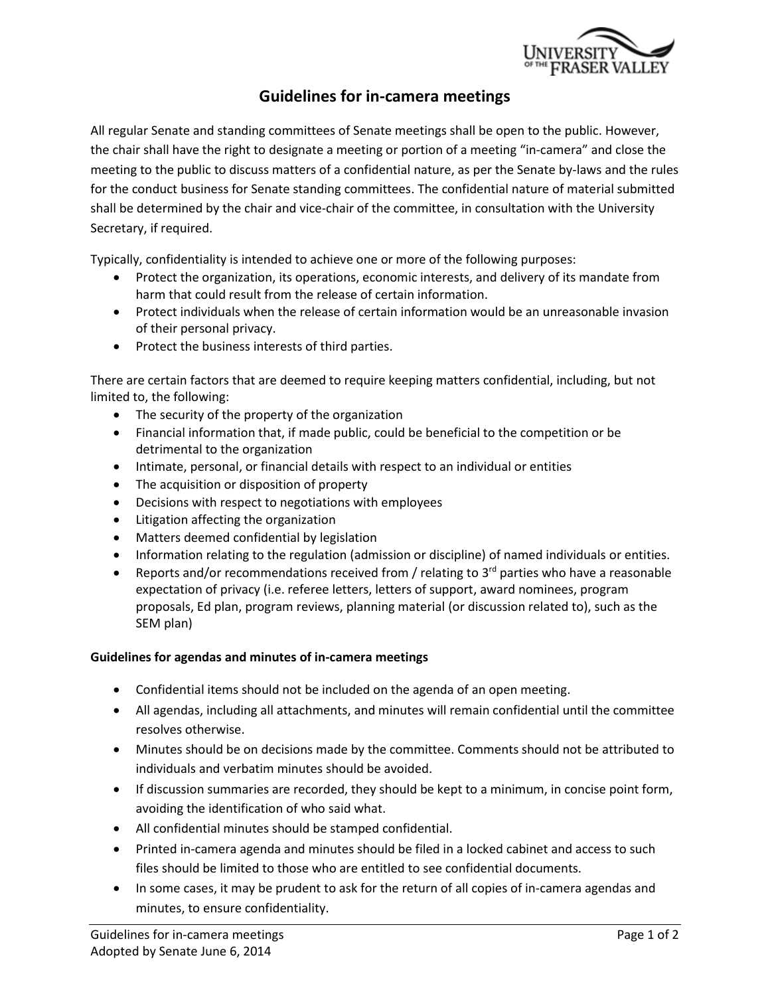

## **Guidelines for in-camera meetings**

All regular Senate and standing committees of Senate meetings shall be open to the public. However, the chair shall have the right to designate a meeting or portion of a meeting "in-camera" and close the meeting to the public to discuss matters of a confidential nature, as per the Senate by-laws and the rules for the conduct business for Senate standing committees. The confidential nature of material submitted shall be determined by the chair and vice-chair of the committee, in consultation with the University Secretary, if required.

Typically, confidentiality is intended to achieve one or more of the following purposes:

- Protect the organization, its operations, economic interests, and delivery of its mandate from harm that could result from the release of certain information.
- Protect individuals when the release of certain information would be an unreasonable invasion of their personal privacy.
- Protect the business interests of third parties.

There are certain factors that are deemed to require keeping matters confidential, including, but not limited to, the following:

- The security of the property of the organization
- Financial information that, if made public, could be beneficial to the competition or be detrimental to the organization
- Intimate, personal, or financial details with respect to an individual or entities
- The acquisition or disposition of property
- Decisions with respect to negotiations with employees
- Litigation affecting the organization
- Matters deemed confidential by legislation
- Information relating to the regulation (admission or discipline) of named individuals or entities.
- Reports and/or recommendations received from / relating to 3<sup>rd</sup> parties who have a reasonable expectation of privacy (i.e. referee letters, letters of support, award nominees, program proposals, Ed plan, program reviews, planning material (or discussion related to), such as the SEM plan)

## **Guidelines for agendas and minutes of in-camera meetings**

- Confidential items should not be included on the agenda of an open meeting.
- All agendas, including all attachments, and minutes will remain confidential until the committee resolves otherwise.
- Minutes should be on decisions made by the committee. Comments should not be attributed to individuals and verbatim minutes should be avoided.
- If discussion summaries are recorded, they should be kept to a minimum, in concise point form, avoiding the identification of who said what.
- All confidential minutes should be stamped confidential.
- Printed in-camera agenda and minutes should be filed in a locked cabinet and access to such files should be limited to those who are entitled to see confidential documents.
- In some cases, it may be prudent to ask for the return of all copies of in-camera agendas and minutes, to ensure confidentiality.